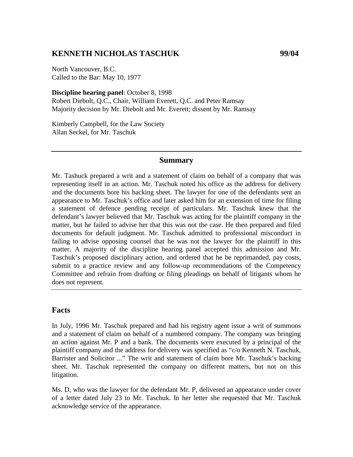# **KENNETH NICHOLAS TASCHUK 99/04**

North Vancouver, B.C. Called to the Bar: May 10, 1977

**Discipline hearing panel**: October 8, 1998 Robert Diebolt, Q.C., Chair, William Everett, Q.C. and Peter Ramsay Majority decision by Mr. Diebolt and Mr. Everett; dissent by Mr. Ramsay

Kimberly Campbell, for the Law Society Allan Seckel, for Mr. Taschuk

### **Summary**

Mr. Tashuck prepared a writ and a statement of claim on behalf of a company that was representing itself in an action. Mr. Taschuk noted his office as the address for delivery and the documents bore his backing sheet. The lawyer for one of the defendants sent an appearance to Mr. Taschuk's office and later asked him for an extension of time for filing a statement of defence pending receipt of particulars. Mr. Taschuk knew that the defendant's lawyer believed that Mr. Taschuk was acting for the plaintiff company in the matter, but he failed to advise her that this was not the case. He then prepared and filed documents for default judgment. Mr. Taschuk admitted to professional misconduct in failing to advise opposing counsel that he was not the lawyer for the plaintiff in this matter. A majority of the discipline hearing panel accepted this admission and Mr. Taschuk's proposed disciplinary action, and ordered that he be reprimanded, pay costs, submit to a practice review and any follow-up recommendations of the Competency Committee and refrain from drafting or filing pleadings on behalf of litigants whom he does not represent.

### **Facts**

In July, 1996 Mr. Taschuk prepared and had his registry agent issue a writ of summons and a statement of claim on behalf of a numbered company. The company was bringing an action against Mr. P and a bank. The documents were executed by a principal of the plaintiff company and the address for delivery was specified as "c/o Kenneth N. Taschuk, Barrister and Solicitor ..." The writ and statement of claim bore Mr. Taschuk's backing sheet. Mr. Taschuk represented the company on different matters, but not on this litigation.

Ms. D, who was the lawyer for the defendant Mr. P, delivered an appearance under cover of a letter dated July 23 to Mr. Taschuk. In her letter she requested that Mr. Taschuk acknowledge service of the appearance.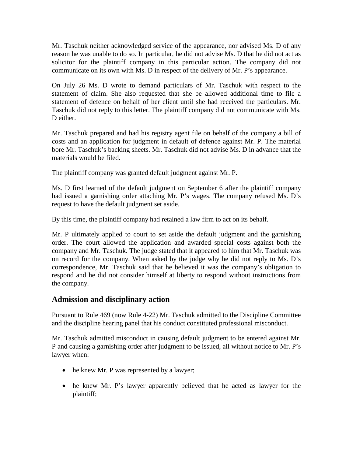Mr. Taschuk neither acknowledged service of the appearance, nor advised Ms. D of any reason he was unable to do so. In particular, he did not advise Ms. D that he did not act as solicitor for the plaintiff company in this particular action. The company did not communicate on its own with Ms. D in respect of the delivery of Mr. P's appearance.

On July 26 Ms. D wrote to demand particulars of Mr. Taschuk with respect to the statement of claim. She also requested that she be allowed additional time to file a statement of defence on behalf of her client until she had received the particulars. Mr. Taschuk did not reply to this letter. The plaintiff company did not communicate with Ms. D either.

Mr. Taschuk prepared and had his registry agent file on behalf of the company a bill of costs and an application for judgment in default of defence against Mr. P. The material bore Mr. Taschuk's backing sheets. Mr. Taschuk did not advise Ms. D in advance that the materials would be filed.

The plaintiff company was granted default judgment against Mr. P.

Ms. D first learned of the default judgment on September 6 after the plaintiff company had issued a garnishing order attaching Mr. P's wages. The company refused Ms. D's request to have the default judgment set aside.

By this time, the plaintiff company had retained a law firm to act on its behalf.

Mr. P ultimately applied to court to set aside the default judgment and the garnishing order. The court allowed the application and awarded special costs against both the company and Mr. Taschuk. The judge stated that it appeared to him that Mr. Taschuk was on record for the company. When asked by the judge why he did not reply to Ms. D's correspondence, Mr. Taschuk said that he believed it was the company's obligation to respond and he did not consider himself at liberty to respond without instructions from the company.

# **Admission and disciplinary action**

Pursuant to Rule 469 (now Rule 4-22) Mr. Taschuk admitted to the Discipline Committee and the discipline hearing panel that his conduct constituted professional misconduct.

Mr. Taschuk admitted misconduct in causing default judgment to be entered against Mr. P and causing a garnishing order after judgment to be issued, all without notice to Mr. P's lawyer when:

- he knew Mr. P was represented by a lawyer;
- he knew Mr. P's lawyer apparently believed that he acted as lawyer for the plaintiff;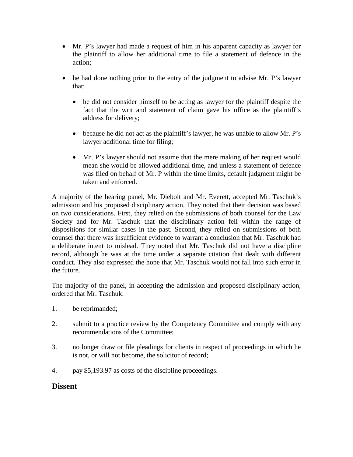- Mr. P's lawyer had made a request of him in his apparent capacity as lawyer for the plaintiff to allow her additional time to file a statement of defence in the action;
- he had done nothing prior to the entry of the judgment to advise Mr. P's lawyer that:
	- he did not consider himself to be acting as lawyer for the plaintiff despite the fact that the writ and statement of claim gave his office as the plaintiff's address for delivery;
	- because he did not act as the plaintiff's lawyer, he was unable to allow Mr. P's lawyer additional time for filing;
	- Mr. P's lawyer should not assume that the mere making of her request would mean she would be allowed additional time, and unless a statement of defence was filed on behalf of Mr. P within the time limits, default judgment might be taken and enforced.

A majority of the hearing panel, Mr. Diebolt and Mr. Everett, accepted Mr. Taschuk's admission and his proposed disciplinary action. They noted that their decision was based on two considerations. First, they relied on the submissions of both counsel for the Law Society and for Mr. Taschuk that the disciplinary action fell within the range of dispositions for similar cases in the past. Second, they relied on submissions of both counsel that there was insufficient evidence to warrant a conclusion that Mr. Taschuk had a deliberate intent to mislead. They noted that Mr. Taschuk did not have a discipline record, although he was at the time under a separate citation that dealt with different conduct. They also expressed the hope that Mr. Taschuk would not fall into such error in the future.

The majority of the panel, in accepting the admission and proposed disciplinary action, ordered that Mr. Taschuk:

- 1. be reprimanded;
- 2. submit to a practice review by the Competency Committee and comply with any recommendations of the Committee;
- 3. no longer draw or file pleadings for clients in respect of proceedings in which he is not, or will not become, the solicitor of record;
- 4. pay \$5,193.97 as costs of the discipline proceedings.

### **Dissent**